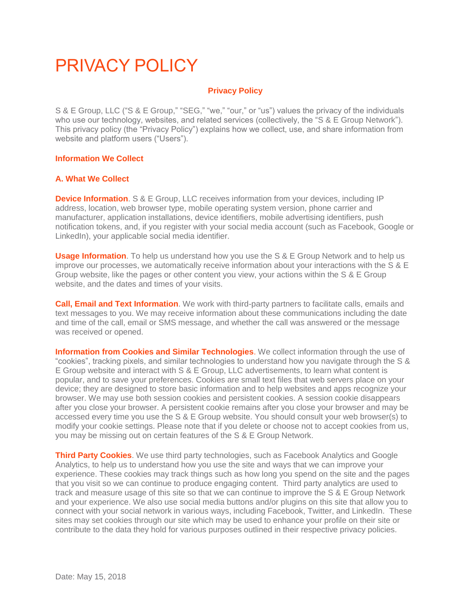# PRIVACY POLICY

# **Privacy Policy**

S & E Group, LLC ("S & E Group," "SEG," "we," "our," or "us") values the privacy of the individuals who use our technology, websites, and related services (collectively, the "S & E Group Network"). This privacy policy (the "Privacy Policy") explains how we collect, use, and share information from website and platform users ("Users").

## **Information We Collect**

## **A. What We Collect**

**Device Information**. S & E Group, LLC receives information from your devices, including IP address, location, web browser type, mobile operating system version, phone carrier and manufacturer, application installations, device identifiers, mobile advertising identifiers, push notification tokens, and, if you register with your social media account (such as Facebook, Google or LinkedIn), your applicable social media identifier.

**Usage Information**. To help us understand how you use the S & E Group Network and to help us improve our processes, we automatically receive information about your interactions with the S & E Group website, like the pages or other content you view, your actions within the S & E Group website, and the dates and times of your visits.

**Call, Email and Text Information**. We work with third-party partners to facilitate calls, emails and text messages to you. We may receive information about these communications including the date and time of the call, email or SMS message, and whether the call was answered or the message was received or opened.

**Information from Cookies and Similar Technologies**. We collect information through the use of "cookies", tracking pixels, and similar technologies to understand how you navigate through the S & E Group website and interact with S & E Group, LLC advertisements, to learn what content is popular, and to save your preferences. Cookies are small text files that web servers place on your device; they are designed to store basic information and to help websites and apps recognize your browser. We may use both session cookies and persistent cookies. A session cookie disappears after you close your browser. A persistent cookie remains after you close your browser and may be accessed every time you use the S & E Group website. You should consult your web browser(s) to modify your cookie settings. Please note that if you delete or choose not to accept cookies from us, you may be missing out on certain features of the S & E Group Network.

**Third Party Cookies**. We use third party technologies, such as Facebook Analytics and Google Analytics, to help us to understand how you use the site and ways that we can improve your experience. These cookies may track things such as how long you spend on the site and the pages that you visit so we can continue to produce engaging content. Third party analytics are used to track and measure usage of this site so that we can continue to improve the S & E Group Network and your experience. We also use social media buttons and/or plugins on this site that allow you to connect with your social network in various ways, including Facebook, Twitter, and LinkedIn. These sites may set cookies through our site which may be used to enhance your profile on their site or contribute to the data they hold for various purposes outlined in their respective privacy policies.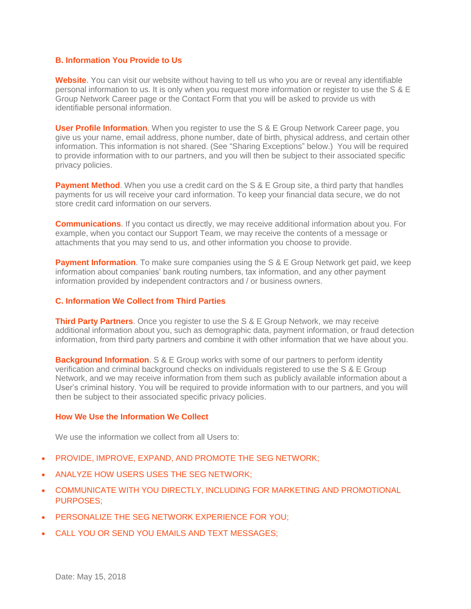#### **B. Information You Provide to Us**

Website. You can visit our website without having to tell us who you are or reveal any identifiable personal information to us. It is only when you request more information or register to use the S & E Group Network Career page or the Contact Form that you will be asked to provide us with identifiable personal information.

**User Profile Information.** When you register to use the S & E Group Network Career page, you give us your name, email address, phone number, date of birth, physical address, and certain other information. This information is not shared. (See "Sharing Exceptions" below.) You will be required to provide information with to our partners, and you will then be subject to their associated specific privacy policies.

**Payment Method**. When you use a credit card on the S & E Group site, a third party that handles payments for us will receive your card information. To keep your financial data secure, we do not store credit card information on our servers.

**Communications**. If you contact us directly, we may receive additional information about you. For example, when you contact our Support Team, we may receive the contents of a message or attachments that you may send to us, and other information you choose to provide.

**Payment Information**. To make sure companies using the S & E Group Network get paid, we keep information about companies' bank routing numbers, tax information, and any other payment information provided by independent contractors and / or business owners.

## **C. Information We Collect from Third Parties**

**Third Party Partners**. Once you register to use the S & E Group Network, we may receive additional information about you, such as demographic data, payment information, or fraud detection information, from third party partners and combine it with other information that we have about you.

**Background Information**. S & E Group works with some of our partners to perform identity verification and criminal background checks on individuals registered to use the S & E Group Network, and we may receive information from them such as publicly available information about a User's criminal history. You will be required to provide information with to our partners, and you will then be subject to their associated specific privacy policies.

#### **How We Use the Information We Collect**

We use the information we collect from all Users to:

- PROVIDE, IMPROVE, EXPAND, AND PROMOTE THE SEG NETWORK:
- ANALYZE HOW USERS USES THE SEG NETWORK;
- COMMUNICATE WITH YOU DIRECTLY, INCLUDING FOR MARKETING AND PROMOTIONAL PURPOSES;
- PERSONALIZE THE SEG NETWORK EXPERIENCE FOR YOU;
- CALL YOU OR SEND YOU EMAILS AND TEXT MESSAGES;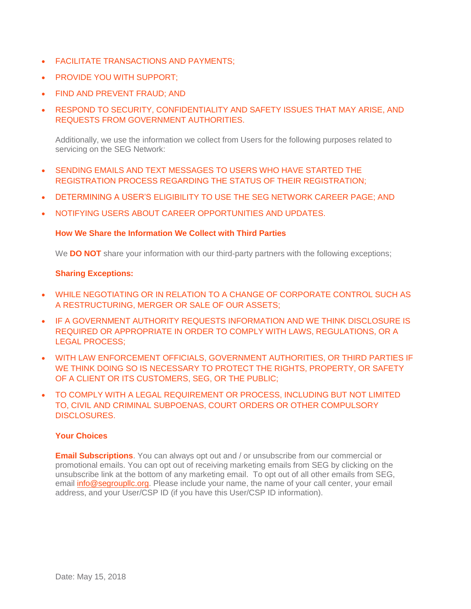- **FACILITATE TRANSACTIONS AND PAYMENTS:**
- PROVIDE YOU WITH SUPPORT;
- FIND AND PREVENT FRAUD; AND
- RESPOND TO SECURITY, CONFIDENTIALITY AND SAFETY ISSUES THAT MAY ARISE, AND REQUESTS FROM GOVERNMENT AUTHORITIES.

Additionally, we use the information we collect from Users for the following purposes related to servicing on the SEG Network:

- SENDING EMAILS AND TEXT MESSAGES TO USERS WHO HAVE STARTED THE REGISTRATION PROCESS REGARDING THE STATUS OF THEIR REGISTRATION;
- DETERMINING A USER'S ELIGIBILITY TO USE THE SEG NETWORK CAREER PAGE; AND
- NOTIFYING USERS ABOUT CAREER OPPORTUNITIES AND UPDATES.

# **How We Share the Information We Collect with Third Parties**

We **DO NOT** share your information with our third-party partners with the following exceptions;

# **Sharing Exceptions:**

- WHILE NEGOTIATING OR IN RELATION TO A CHANGE OF CORPORATE CONTROL SUCH AS A RESTRUCTURING, MERGER OR SALE OF OUR ASSETS;
- IF A GOVERNMENT AUTHORITY REQUESTS INFORMATION AND WE THINK DISCLOSURE IS REQUIRED OR APPROPRIATE IN ORDER TO COMPLY WITH LAWS, REGULATIONS, OR A LEGAL PROCESS;
- WITH LAW ENFORCEMENT OFFICIALS, GOVERNMENT AUTHORITIES, OR THIRD PARTIES IF WE THINK DOING SO IS NECESSARY TO PROTECT THE RIGHTS, PROPERTY, OR SAFETY OF A CLIENT OR ITS CUSTOMERS, SEG, OR THE PUBLIC;
- TO COMPLY WITH A LEGAL REQUIREMENT OR PROCESS, INCLUDING BUT NOT LIMITED TO, CIVIL AND CRIMINAL SUBPOENAS, COURT ORDERS OR OTHER COMPULSORY DISCLOSURES.

# **Your Choices**

**Email Subscriptions**. You can always opt out and / or unsubscribe from our commercial or promotional emails. You can opt out of receiving marketing emails from SEG by clicking on the unsubscribe link at the bottom of any marketing email. To opt out of all other emails from SEG, email info@segrouplic.org. Please include your name, the name of your call center, your email address, and your User/CSP ID (if you have this User/CSP ID information).